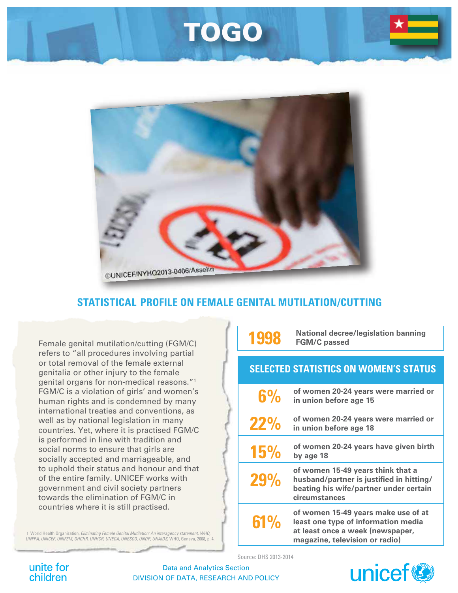## TOGO



### **STATISTICAL PROFILE ON FEMALE GENITAL MUTILATION/CUTTING**

Female genital mutilation/cutting (FGM/C) refers to "all procedures involving partial or total removal of the female external genitalia or other injury to the female genital organs for non-medical reasons."1 FGM/C is a violation of girls' and women's human rights and is condemned by many international treaties and conventions, as well as by national legislation in many countries. Yet, where it is practised FGM/C is performed in line with tradition and social norms to ensure that girls are socially accepted and marriageable, and to uphold their status and honour and that of the entire family. UNICEF works with government and civil society partners towards the elimination of FGM/C in countries where it is still practised.

1 World Health Organization, *Eliminating Female Genital Mutilation: An interagency statement, WHO, UNFPA, UNICEF, UNIFEM, OHCHR, UNHCR, UNECA, UNESCO, UNDP, UNAIDS*, WHO, Geneva, 2008, p. 4.

|                                              | <b>National decree/legislation banning</b><br><b>FGM/C passed</b>                                                                                |
|----------------------------------------------|--------------------------------------------------------------------------------------------------------------------------------------------------|
| <b>SELECTED STATISTICS ON WOMEN'S STATUS</b> |                                                                                                                                                  |
| 6%                                           | of women 20-24 years were married or<br>in union before age 15                                                                                   |
| <b>22%</b>                                   | of women 20-24 years were married or<br>in union before age 18                                                                                   |
| <b>15%</b>                                   | of women 20-24 years have given birth<br>by age 18                                                                                               |
| <b>29%</b>                                   | of women 15-49 years think that a<br>husband/partner is justified in hitting/<br>beating his wife/partner under certain<br>circumstances         |
| 61%                                          | of women 15-49 years make use of at<br>least one type of information media<br>at least once a week (newspaper,<br>magazine, television or radio) |

Source: DHS 2013-2014



Data and Analytics Section DIVISION OF DATA, RESEARCH AND POLICY

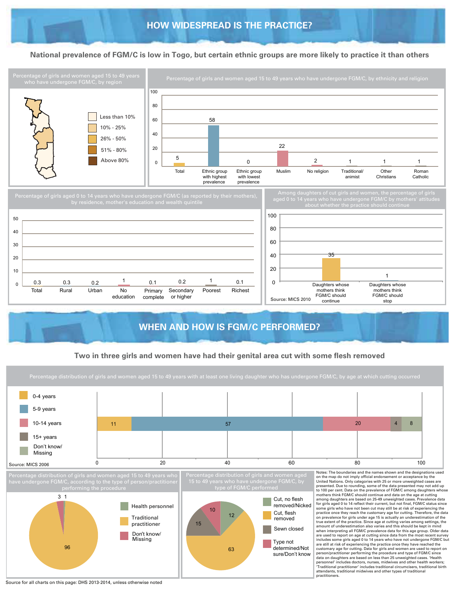#### **National prevalence of FGM/C is low in Togo, but certain ethnic groups are more likely to practice it than others**



#### **WHEN AND HOW IS FGM/C PERFORMED? WHEN AND HOW IS FGM/C PERFORMED?**

#### **Two in three girls and women have had their genital area cut with some flesh removed**

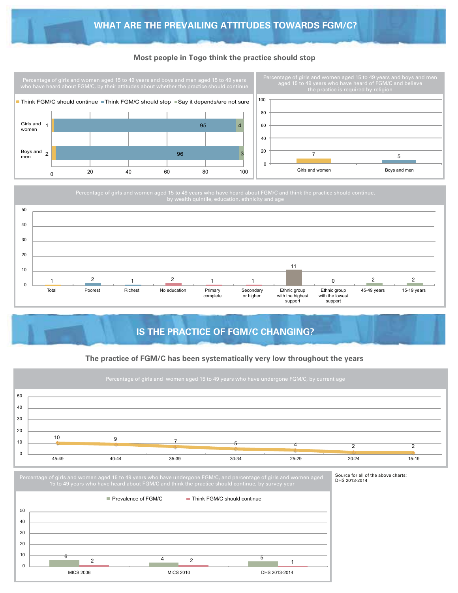#### **Most people in Togo think the practice should stop**



Percentage of girls and women aged 15 to 49 years who have heard about FGM/C and think the practice should continue,



### **IS THE PRACTICE OF FGM/C CHANGING?**

#### **The practice of FGM/C has been systematically very low throughout the years**